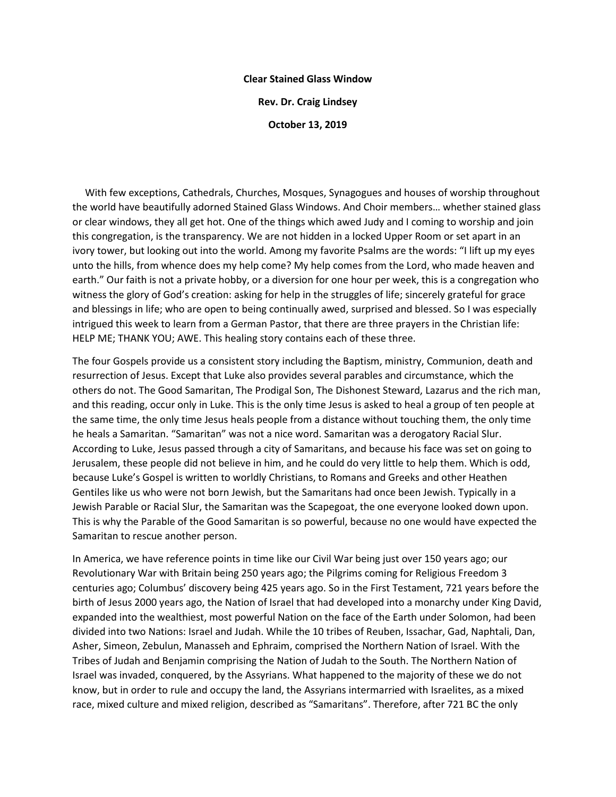## **Clear Stained Glass Window**

**Rev. Dr. Craig Lindsey**

**October 13, 2019**

 With few exceptions, Cathedrals, Churches, Mosques, Synagogues and houses of worship throughout the world have beautifully adorned Stained Glass Windows. And Choir members… whether stained glass or clear windows, they all get hot. One of the things which awed Judy and I coming to worship and join this congregation, is the transparency. We are not hidden in a locked Upper Room or set apart in an ivory tower, but looking out into the world. Among my favorite Psalms are the words: "I lift up my eyes unto the hills, from whence does my help come? My help comes from the Lord, who made heaven and earth." Our faith is not a private hobby, or a diversion for one hour per week, this is a congregation who witness the glory of God's creation: asking for help in the struggles of life; sincerely grateful for grace and blessings in life; who are open to being continually awed, surprised and blessed. So I was especially intrigued this week to learn from a German Pastor, that there are three prayers in the Christian life: HELP ME; THANK YOU; AWE. This healing story contains each of these three.

The four Gospels provide us a consistent story including the Baptism, ministry, Communion, death and resurrection of Jesus. Except that Luke also provides several parables and circumstance, which the others do not. The Good Samaritan, The Prodigal Son, The Dishonest Steward, Lazarus and the rich man, and this reading, occur only in Luke. This is the only time Jesus is asked to heal a group of ten people at the same time, the only time Jesus heals people from a distance without touching them, the only time he heals a Samaritan. "Samaritan" was not a nice word. Samaritan was a derogatory Racial Slur. According to Luke, Jesus passed through a city of Samaritans, and because his face was set on going to Jerusalem, these people did not believe in him, and he could do very little to help them. Which is odd, because Luke's Gospel is written to worldly Christians, to Romans and Greeks and other Heathen Gentiles like us who were not born Jewish, but the Samaritans had once been Jewish. Typically in a Jewish Parable or Racial Slur, the Samaritan was the Scapegoat, the one everyone looked down upon. This is why the Parable of the Good Samaritan is so powerful, because no one would have expected the Samaritan to rescue another person.

In America, we have reference points in time like our Civil War being just over 150 years ago; our Revolutionary War with Britain being 250 years ago; the Pilgrims coming for Religious Freedom 3 centuries ago; Columbus' discovery being 425 years ago. So in the First Testament, 721 years before the birth of Jesus 2000 years ago, the Nation of Israel that had developed into a monarchy under King David, expanded into the wealthiest, most powerful Nation on the face of the Earth under Solomon, had been divided into two Nations: Israel and Judah. While the 10 tribes of Reuben, Issachar, Gad, Naphtali, Dan, Asher, Simeon, Zebulun, Manasseh and Ephraim, comprised the Northern Nation of Israel. With the Tribes of Judah and Benjamin comprising the Nation of Judah to the South. The Northern Nation of Israel was invaded, conquered, by the Assyrians. What happened to the majority of these we do not know, but in order to rule and occupy the land, the Assyrians intermarried with Israelites, as a mixed race, mixed culture and mixed religion, described as "Samaritans". Therefore, after 721 BC the only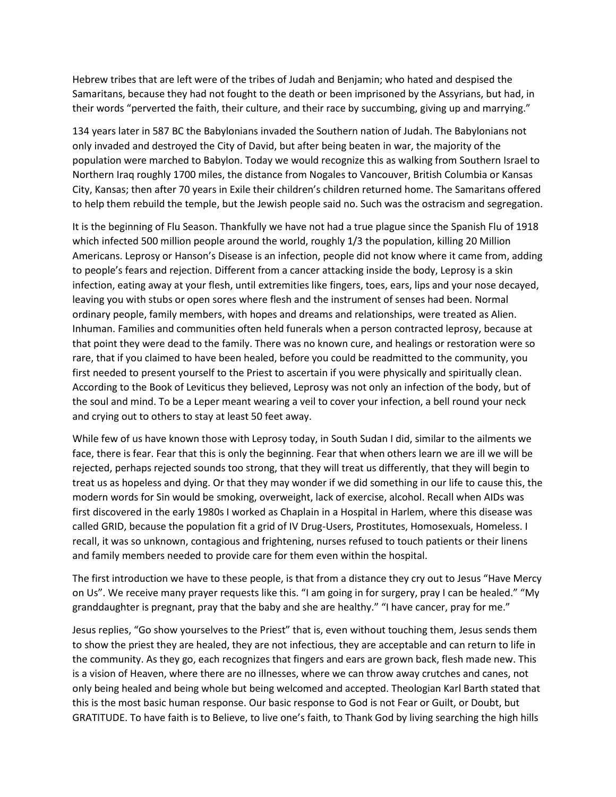Hebrew tribes that are left were of the tribes of Judah and Benjamin; who hated and despised the Samaritans, because they had not fought to the death or been imprisoned by the Assyrians, but had, in their words "perverted the faith, their culture, and their race by succumbing, giving up and marrying."

134 years later in 587 BC the Babylonians invaded the Southern nation of Judah. The Babylonians not only invaded and destroyed the City of David, but after being beaten in war, the majority of the population were marched to Babylon. Today we would recognize this as walking from Southern Israel to Northern Iraq roughly 1700 miles, the distance from Nogales to Vancouver, British Columbia or Kansas City, Kansas; then after 70 years in Exile their children's children returned home. The Samaritans offered to help them rebuild the temple, but the Jewish people said no. Such was the ostracism and segregation.

It is the beginning of Flu Season. Thankfully we have not had a true plague since the Spanish Flu of 1918 which infected 500 million people around the world, roughly 1/3 the population, killing 20 Million Americans. Leprosy or Hanson's Disease is an infection, people did not know where it came from, adding to people's fears and rejection. Different from a cancer attacking inside the body, Leprosy is a skin infection, eating away at your flesh, until extremities like fingers, toes, ears, lips and your nose decayed, leaving you with stubs or open sores where flesh and the instrument of senses had been. Normal ordinary people, family members, with hopes and dreams and relationships, were treated as Alien. Inhuman. Families and communities often held funerals when a person contracted leprosy, because at that point they were dead to the family. There was no known cure, and healings or restoration were so rare, that if you claimed to have been healed, before you could be readmitted to the community, you first needed to present yourself to the Priest to ascertain if you were physically and spiritually clean. According to the Book of Leviticus they believed, Leprosy was not only an infection of the body, but of the soul and mind. To be a Leper meant wearing a veil to cover your infection, a bell round your neck and crying out to others to stay at least 50 feet away.

While few of us have known those with Leprosy today, in South Sudan I did, similar to the ailments we face, there is fear. Fear that this is only the beginning. Fear that when others learn we are ill we will be rejected, perhaps rejected sounds too strong, that they will treat us differently, that they will begin to treat us as hopeless and dying. Or that they may wonder if we did something in our life to cause this, the modern words for Sin would be smoking, overweight, lack of exercise, alcohol. Recall when AIDs was first discovered in the early 1980s I worked as Chaplain in a Hospital in Harlem, where this disease was called GRID, because the population fit a grid of IV Drug-Users, Prostitutes, Homosexuals, Homeless. I recall, it was so unknown, contagious and frightening, nurses refused to touch patients or their linens and family members needed to provide care for them even within the hospital.

The first introduction we have to these people, is that from a distance they cry out to Jesus "Have Mercy on Us". We receive many prayer requests like this. "I am going in for surgery, pray I can be healed." "My granddaughter is pregnant, pray that the baby and she are healthy." "I have cancer, pray for me."

Jesus replies, "Go show yourselves to the Priest" that is, even without touching them, Jesus sends them to show the priest they are healed, they are not infectious, they are acceptable and can return to life in the community. As they go, each recognizes that fingers and ears are grown back, flesh made new. This is a vision of Heaven, where there are no illnesses, where we can throw away crutches and canes, not only being healed and being whole but being welcomed and accepted. Theologian Karl Barth stated that this is the most basic human response. Our basic response to God is not Fear or Guilt, or Doubt, but GRATITUDE. To have faith is to Believe, to live one's faith, to Thank God by living searching the high hills